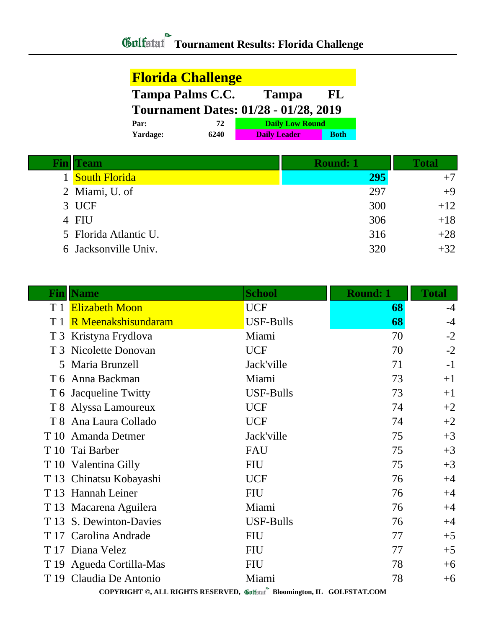## **Tournament Results: Florida Challenge**

| <b>Florida Challenge</b>                      |      |                                              |             |
|-----------------------------------------------|------|----------------------------------------------|-------------|
| <b>Tampa Palms C.C.</b><br><b>Tampa</b><br>FL |      |                                              |             |
|                                               |      | <b>Tournament Dates: 01/28 - 01/28, 2019</b> |             |
| Par:                                          | 72   | <b>Daily Low Round</b>                       |             |
| Yardage:                                      | 6240 | <b>Daily Leader</b>                          | <b>Both</b> |

| Team                  | <b>Round: 1</b> | Total |
|-----------------------|-----------------|-------|
| <b>South Florida</b>  | 295             | $+7$  |
| 2 Miami, U. of        | 297             | $+9$  |
| 3 UCF                 | 300             | $+12$ |
| 4 FIU                 | 306             | $+18$ |
| 5 Florida Atlantic U. | 316             | $+28$ |
| 6 Jacksonville Univ.  | 320             | $+32$ |

|                | <b>Fin</b>   Name                                                       | <b>School</b>    | <b>Round: 1</b> | <b>Total</b> |
|----------------|-------------------------------------------------------------------------|------------------|-----------------|--------------|
| T <sub>1</sub> | <b>Elizabeth Moon</b>                                                   | <b>UCF</b>       | 68              | $-4$         |
| T1             | R Meenakshisundaram                                                     | USF-Bulls        | 68              | $-4$         |
| T <sub>3</sub> | Kristyna Frydlova                                                       | Miami            | 70              | $-2$         |
|                | T 3 Nicolette Donovan                                                   | <b>UCF</b>       | 70              | $-2$         |
| 5              | Maria Brunzell                                                          | Jack'ville       | 71              | $-1$         |
| T 6            | Anna Backman                                                            | Miami            | 73              | $+1$         |
|                | T 6 Jacqueline Twitty                                                   | <b>USF-Bulls</b> | 73              | $+1$         |
|                | T 8 Alyssa Lamoureux                                                    | <b>UCF</b>       | 74              | $+2$         |
|                | T 8 Ana Laura Collado                                                   | <b>UCF</b>       | 74              | $+2$         |
| T 10           | Amanda Detmer                                                           | Jack'ville       | 75              | $+3$         |
| T 10           | Tai Barber                                                              | <b>FAU</b>       | 75              | $+3$         |
|                | T 10 Valentina Gilly                                                    | <b>FIU</b>       | 75              | $+3$         |
| T 13           | Chinatsu Kobayashi                                                      | <b>UCF</b>       | 76              | $+4$         |
| T 13           | <b>Hannah Leiner</b>                                                    | <b>FIU</b>       | 76              | $+4$         |
|                | T 13 Macarena Aguilera                                                  | Miami            | 76              | $+4$         |
| T 13           | S. Dewinton-Davies                                                      | <b>USF-Bulls</b> | 76              | $+4$         |
|                | T 17 Carolina Andrade                                                   | <b>FIU</b>       | 77              | $+5$         |
|                | T 17 Diana Velez                                                        | <b>FIU</b>       | 77              | $+5$         |
|                | T 19 Agueda Cortilla-Mas                                                | <b>FIU</b>       | 78              | $+6$         |
|                | T 19 Claudia De Antonio                                                 | Miami            | 78              | $+6$         |
|                | COPYRIGHT ©, ALL RIGHTS RESERVED, Golfstat Bloomington, IL GOLFSTAT.COM |                  |                 |              |